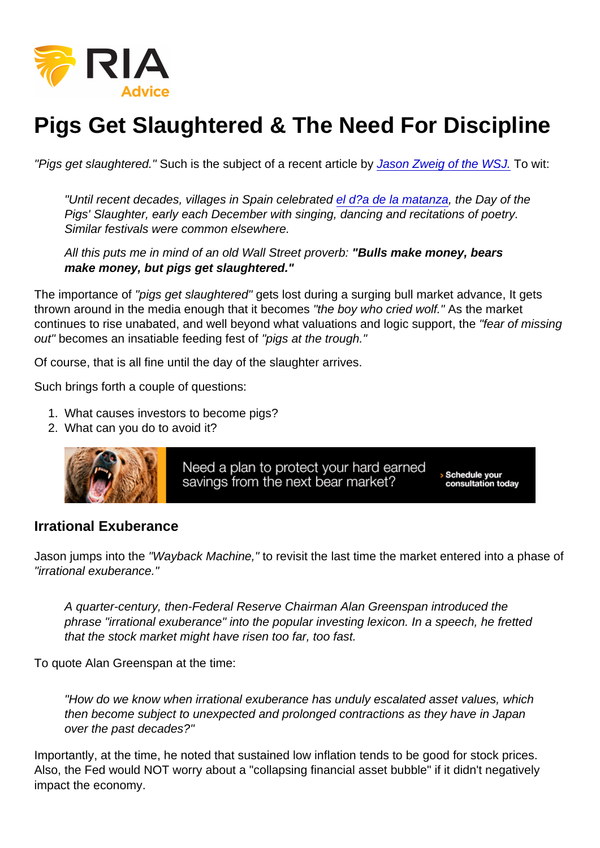## Pigs Get Slaughtered & The Need For Discipline

"Pigs get slaughtered." Such is the subject of a recent article by [Jason Zweig of the WSJ.](https://columnalerts.cmail20.com/t/ViewEmail/d/3CF6F05EFC26210C2540EF23F30FEDED/99FA4C6073310EC8C35B3650D253B2D9?alternativeLink=False) To wit:

"Until recent decades, villages in Spain celebrated [el d?a de la matanza](https://columnalerts.cmail20.com/t/d-l-adljluy-jtykhjjhlr-d/), the Day of the Pigs' Slaughter, early each December with singing, dancing and recitations of poetry. Similar festivals were common elsewhere.

All this puts me in mind of an old Wall Street proverb: "Bulls make money, bears make money, but pigs get slaughtered."

The importance of "pigs get slaughtered" gets lost during a surging bull market advance, It gets thrown around in the media enough that it becomes "the boy who cried wolf." As the market continues to rise unabated, and well beyond what valuations and logic support, the "fear of missing out" becomes an insatiable feeding fest of "pigs at the trough."

Of course, that is all fine until the day of the slaughter arrives.

Such brings forth a couple of questions:

- 1. What causes investors to become pigs?
- 2. What can you do to avoid it?

## Irrational Exuberance

Jason jumps into the "Wayback Machine," to revisit the last time the market entered into a phase of "irrational exuberance."

A quarter-century, then-Federal Reserve Chairman Alan Greenspan introduced the phrase "irrational exuberance" into the popular investing lexicon. In a speech, he fretted that the stock market might have risen too far, too fast.

To quote Alan Greenspan at the time:

"How do we know when irrational exuberance has unduly escalated asset values, which then become subject to unexpected and prolonged contractions as they have in Japan over the past decades?"

Importantly, at the time, he noted that sustained low inflation tends to be good for stock prices. Also, the Fed would NOT worry about a "collapsing financial asset bubble" if it didn't negatively impact the economy.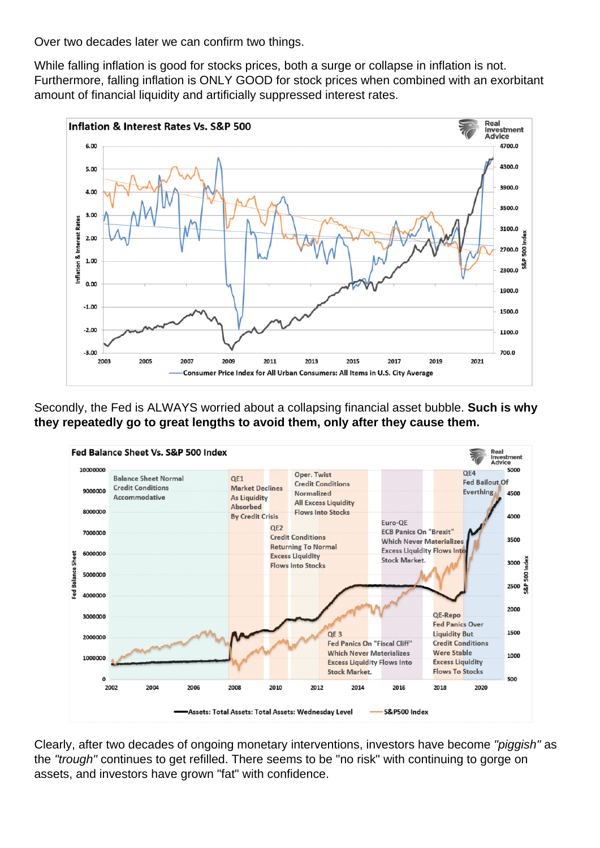Over two decades later we can confirm two things.

While falling inflation is good for stocks prices, both a surge or collapse in inflation is not. Furthermore, falling inflation is ONLY GOOD for stock prices when combined with an exorbitant amount of financial liquidity and artificially suppressed interest rates.



Secondly, the Fed is ALWAYS worried about a collapsing financial asset bubble. **Such is why they repeatedly go to great lengths to avoid them, only after they cause them.**



Clearly, after two decades of ongoing monetary interventions, investors have become "piggish" as the "trough" continues to get refilled. There seems to be "no risk" with continuing to gorge on assets, and investors have grown "fat" with confidence.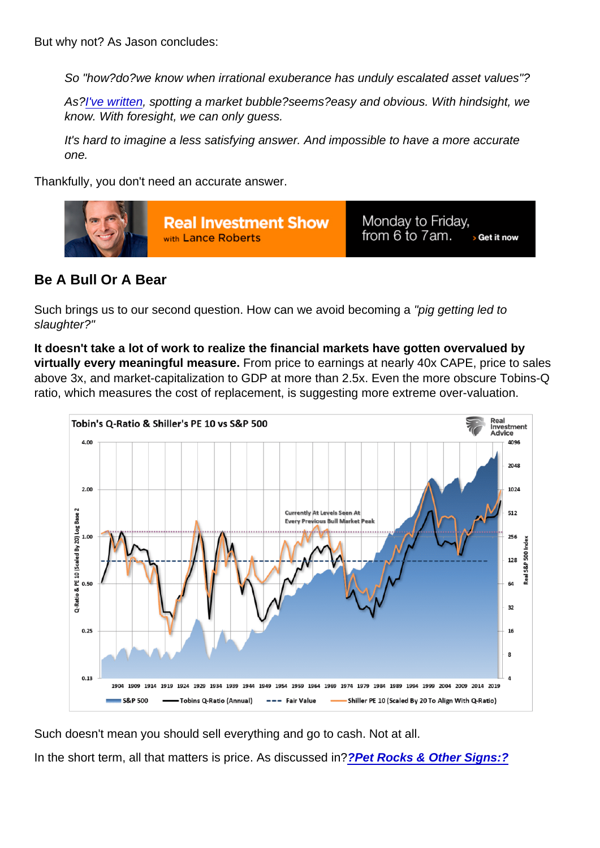But why not? As Jason concludes:

So "how?do?we know when irrational exuberance has unduly escalated asset values"?

As?[I've written,](https://columnalerts.createsend1.com/t/d-l-adljluy-jtykhjjhlr-b/) spotting a market bubble?seems?easy and obvious. With hindsight, we know. With foresight, we can only guess.

It's hard to imagine a less satisfying answer. And impossible to have a more accurate one.

Thankfully, you don't need an accurate answer.

Be A Bull Or A Bear

Such brings us to our second question. How can we avoid becoming a "pig getting led to slaughter?"

It doesn't take a lot of work to realize the financial markets have gotten overvalued by virtually every meaningful measure. From price to earnings at nearly 40x CAPE, price to sales above 3x, and market-capitalization to GDP at more than 2.5x. Even the more obscure Tobins-Q ratio, which measures the cost of replacement, is suggesting more extreme over-valuation.

Such doesn't mean you should sell everything and go to cash. Not at all.

In the short term, all that matters is price. As discussed in?[?Pet Rocks & Other Signs:?](https://realinvestmentadvice.com/technically-speaking-pet-rocks-other-signs-of-a-rich-market/)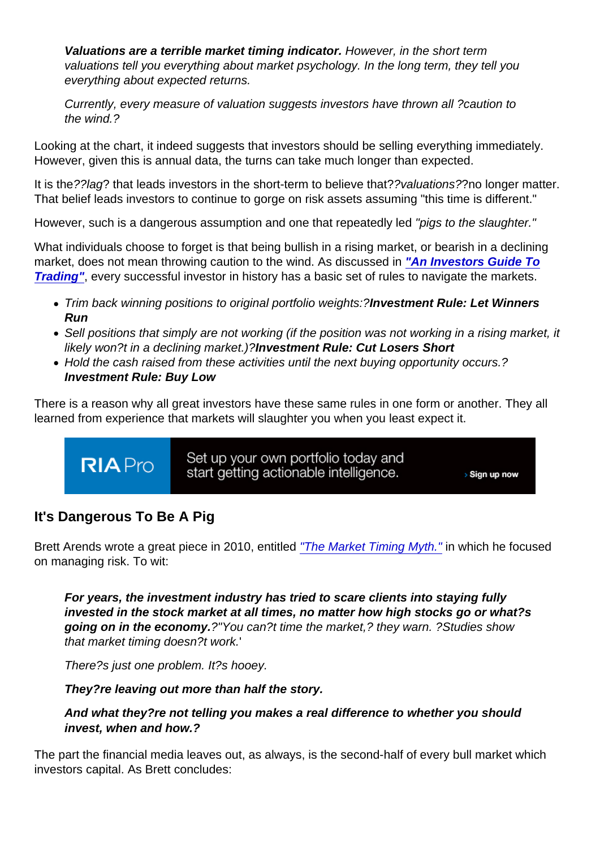Valuations are a terrible market timing indicator. However, in the short term valuations tell you everything about market psychology. In the long term, they tell you everything about expected returns.

Currently, every measure of valuation suggests investors have thrown all ?caution to the wind.?

Looking at the chart, it indeed suggests that investors should be selling everything immediately. However, given this is annual data, the turns can take much longer than expected.

It is the??lag? that leads investors in the short-term to believe that??valuations??no longer matter. That belief leads investors to continue to gorge on risk assets assuming "this time is different."

However, such is a dangerous assumption and one that repeatedly led "pigs to the slaughter."

What individuals choose to forget is that being bullish in a rising market, or bearish in a declining market, does not mean throwing caution to the wind. As discussed in ["An Investors Guide To](https://realinvestmentadvice.com/an-investors-desktop-guide-to-trading-part-i/) [Trading"](https://realinvestmentadvice.com/an-investors-desktop-guide-to-trading-part-i/) , every successful investor in history has a basic set of rules to navigate the markets.

- Trim back winning positions to original portfolio weights:?Investment Rule: Let Winners Run
- Sell positions that simply are not working (if the position was not working in a rising market, it likely won?t in a declining market.)?Investment Rule: Cut Losers Short
- Hold the cash raised from these activities until the next buying opportunity occurs.? Investment Rule: Buy Low

There is a reason why all great investors have these same rules in one form or another. They all learned from experience that markets will slaughter you when you least expect it.

## It's Dangerous To Be A Pig

Brett Arends wrote a great piece in 2010, entitled ["The Market Timing Myth."](http://online.wsj.com/article/SB10001424052748703440004575548253340306596.html) in which he focused on managing risk. To wit:

For years, the investment industry has tried to scare clients into staying fully invested in the stock market at all times, no matter how high stocks go or what?s going on in the economy. ?"You can?t time the market,? they warn. ?Studies show that market timing doesn?t work.'

There?s just one problem. It?s hooey.

They?re leaving out more than half the story.

And what they?re not telling you makes a real difference to whether you should invest, when and how.?

The part the financial media leaves out, as always, is the second-half of every bull market which investors capital. As Brett concludes: